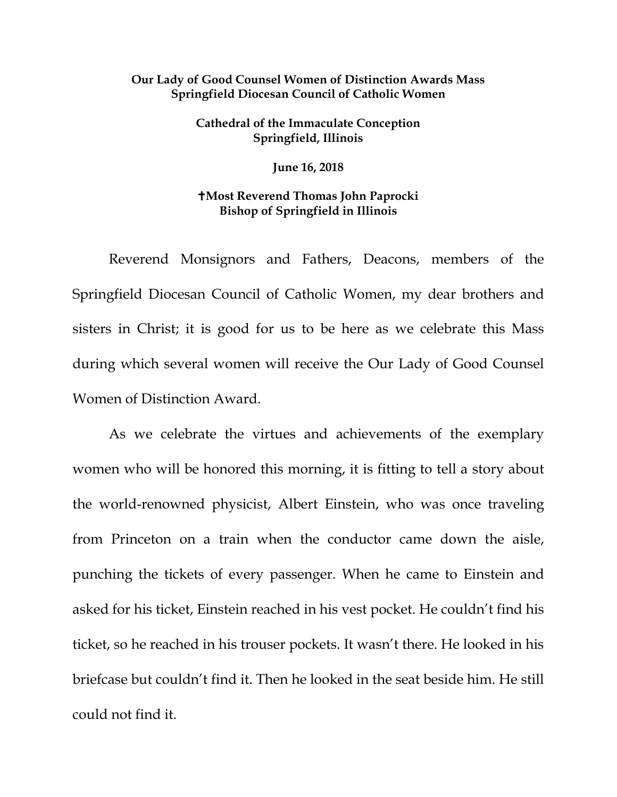## **Our Lady of Good Counsel Women of Distinction Awards Mass Springfield Diocesan Council of Catholic Women**

## **Cathedral of the Immaculate Conception Springfield, Illinois**

**June 16, 2018**

## **Most Reverend Thomas John Paprocki Bishop of Springfield in Illinois**

Reverend Monsignors and Fathers, Deacons, members of the Springfield Diocesan Council of Catholic Women, my dear brothers and sisters in Christ; it is good for us to be here as we celebrate this Mass during which several women will receive the Our Lady of Good Counsel Women of Distinction Award.

As we celebrate the virtues and achievements of the exemplary women who will be honored this morning, it is fitting to tell a story about the world-renowned physicist, Albert Einstein, who was once traveling from Princeton on a train when the conductor came down the aisle, punching the tickets of every passenger. When he came to Einstein and asked for his ticket, Einstein reached in his vest pocket. He couldn't find his ticket, so he reached in his trouser pockets. It wasn't there. He looked in his briefcase but couldn't find it. Then he looked in the seat beside him. He still could not find it.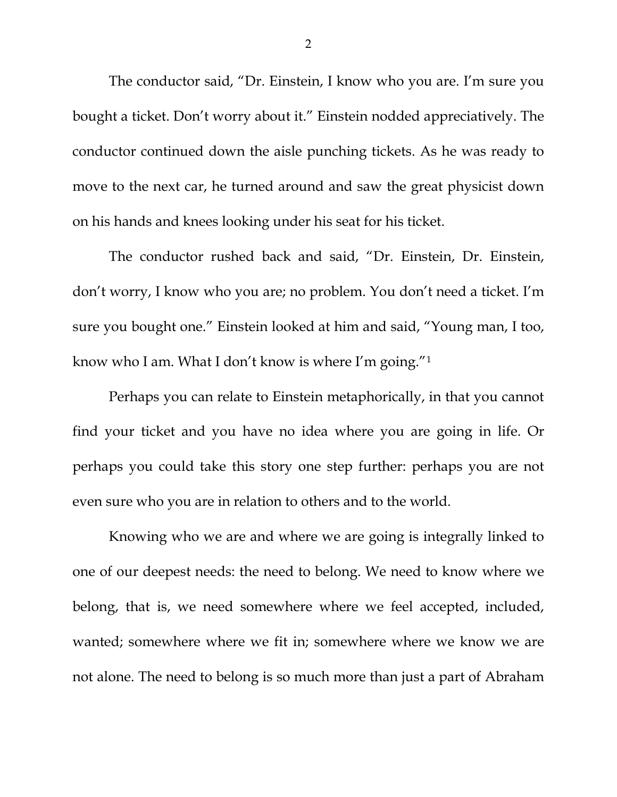The conductor said, "Dr. Einstein, I know who you are. I'm sure you bought a ticket. Don't worry about it." Einstein nodded appreciatively. The conductor continued down the aisle punching tickets. As he was ready to move to the next car, he turned around and saw the great physicist down on his hands and knees looking under his seat for his ticket.

The conductor rushed back and said, "Dr. Einstein, Dr. Einstein, don't worry, I know who you are; no problem. You don't need a ticket. I'm sure you bought one." Einstein looked at him and said, "Young man, I too, know who I am. What I don't know is where I'm going.["1](#page-5-0)

Perhaps you can relate to Einstein metaphorically, in that you cannot find your ticket and you have no idea where you are going in life. Or perhaps you could take this story one step further: perhaps you are not even sure who you are in relation to others and to the world.

Knowing who we are and where we are going is integrally linked to one of our deepest needs: the need to belong. We need to know where we belong, that is, we need somewhere where we feel accepted, included, wanted; somewhere where we fit in; somewhere where we know we are not alone. The need to belong is so much more than just a part of Abraham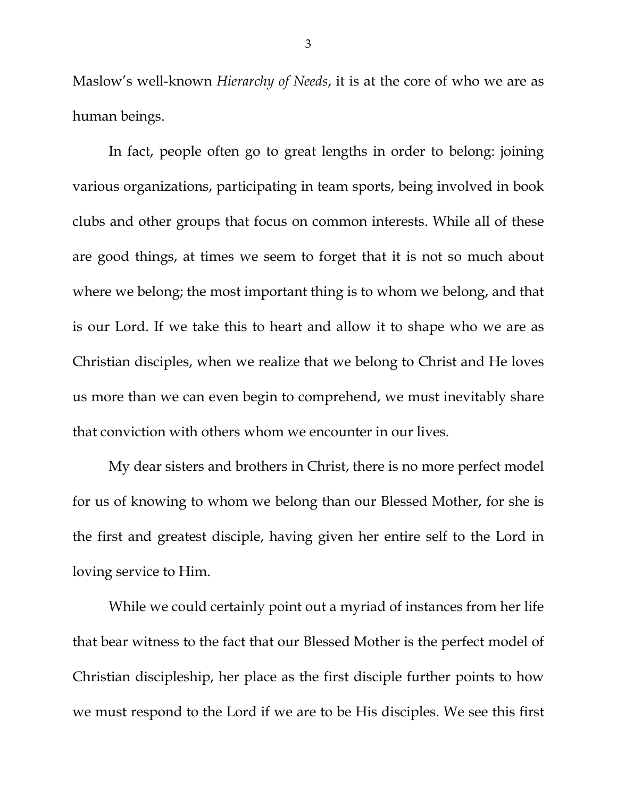Maslow's well-known *Hierarchy of Needs*, it is at the core of who we are as human beings.

In fact, people often go to great lengths in order to belong: joining various organizations, participating in team sports, being involved in book clubs and other groups that focus on common interests. While all of these are good things, at times we seem to forget that it is not so much about where we belong; the most important thing is to whom we belong, and that is our Lord. If we take this to heart and allow it to shape who we are as Christian disciples, when we realize that we belong to Christ and He loves us more than we can even begin to comprehend, we must inevitably share that conviction with others whom we encounter in our lives.

My dear sisters and brothers in Christ, there is no more perfect model for us of knowing to whom we belong than our Blessed Mother, for she is the first and greatest disciple, having given her entire self to the Lord in loving service to Him.

While we could certainly point out a myriad of instances from her life that bear witness to the fact that our Blessed Mother is the perfect model of Christian discipleship, her place as the first disciple further points to how we must respond to the Lord if we are to be His disciples. We see this first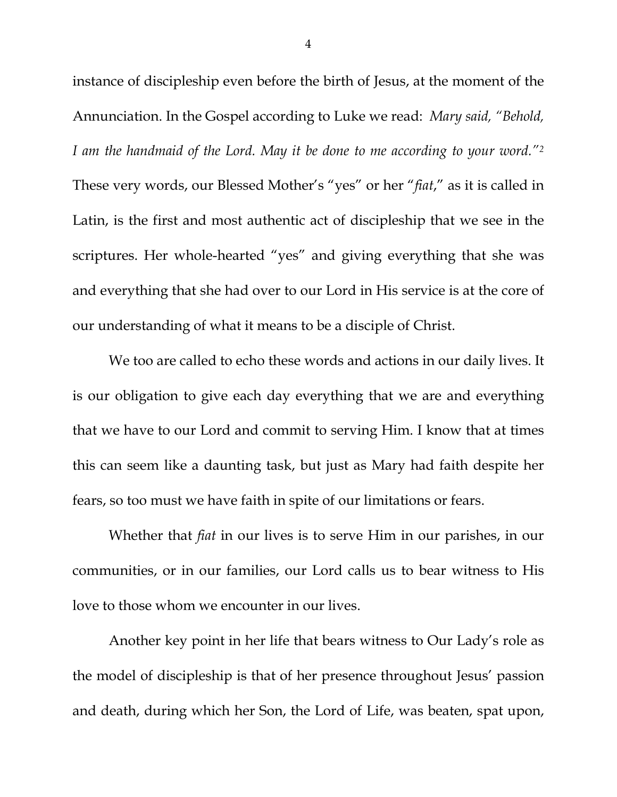instance of discipleship even before the birth of Jesus, at the moment of the Annunciation. In the Gospel according to Luke we read: *Mary said, "Behold, I am the handmaid of the Lord. May it be done to me according to your word.["2](#page-5-1)* These very words, our Blessed Mother's "yes" or her "*fiat*," as it is called in Latin, is the first and most authentic act of discipleship that we see in the scriptures. Her whole-hearted "yes" and giving everything that she was and everything that she had over to our Lord in His service is at the core of our understanding of what it means to be a disciple of Christ.

We too are called to echo these words and actions in our daily lives. It is our obligation to give each day everything that we are and everything that we have to our Lord and commit to serving Him. I know that at times this can seem like a daunting task, but just as Mary had faith despite her fears, so too must we have faith in spite of our limitations or fears.

Whether that *fiat* in our lives is to serve Him in our parishes, in our communities, or in our families, our Lord calls us to bear witness to His love to those whom we encounter in our lives.

Another key point in her life that bears witness to Our Lady's role as the model of discipleship is that of her presence throughout Jesus' passion and death, during which her Son, the Lord of Life, was beaten, spat upon,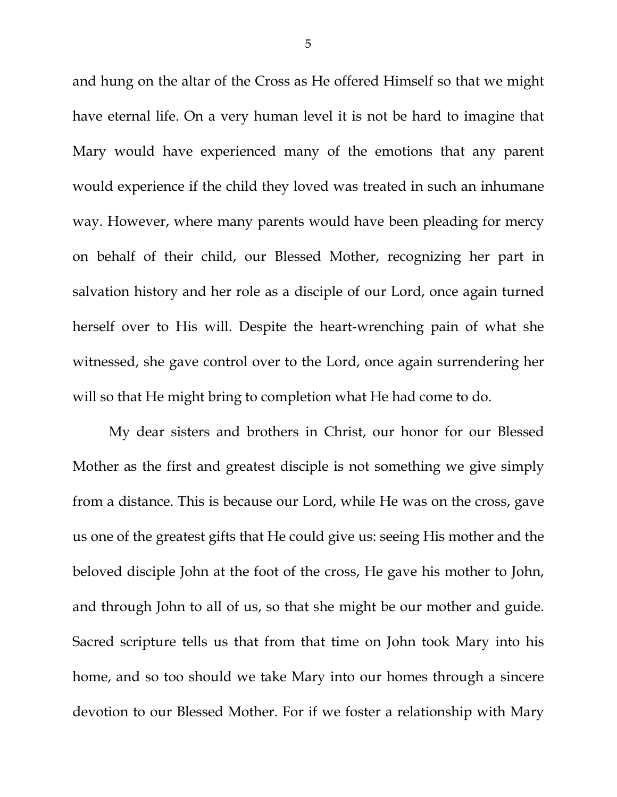and hung on the altar of the Cross as He offered Himself so that we might have eternal life. On a very human level it is not be hard to imagine that Mary would have experienced many of the emotions that any parent would experience if the child they loved was treated in such an inhumane way. However, where many parents would have been pleading for mercy on behalf of their child, our Blessed Mother, recognizing her part in salvation history and her role as a disciple of our Lord, once again turned herself over to His will. Despite the heart-wrenching pain of what she witnessed, she gave control over to the Lord, once again surrendering her will so that He might bring to completion what He had come to do.

My dear sisters and brothers in Christ, our honor for our Blessed Mother as the first and greatest disciple is not something we give simply from a distance. This is because our Lord, while He was on the cross, gave us one of the greatest gifts that He could give us: seeing His mother and the beloved disciple John at the foot of the cross, He gave his mother to John, and through John to all of us, so that she might be our mother and guide. Sacred scripture tells us that from that time on John took Mary into his home, and so too should we take Mary into our homes through a sincere devotion to our Blessed Mother. For if we foster a relationship with Mary